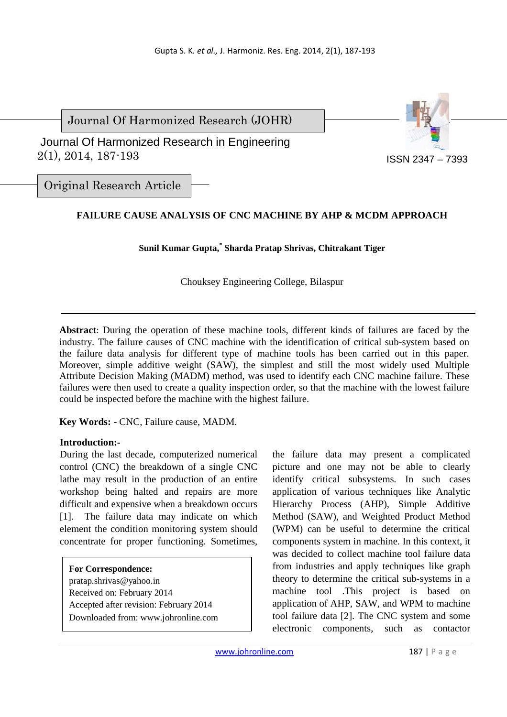Journal Of Harmonized Research (JOHR)





ISSN 2347 – 7393

Original Research Article

# **FAILURE CAUSE ANALYSIS OF CNC MACHINE BY AHP & MCDM APPROACH**

### **Sunil Kumar Gupta,\* Sharda Pratap Shrivas, Chitrakant Tiger**

Chouksey Engineering College, Bilaspur

**Abstract**: During the operation of these machine tools, different kinds of failures are faced by the industry. The failure causes of CNC machine with the identification of critical sub-system based on the failure data analysis for different type of machine tools has been carried out in this paper. Moreover, simple additive weight (SAW), the simplest and still the most widely used Multiple Attribute Decision Making (MADM) method, was used to identify each CNC machine failure. These failures were then used to create a quality inspection order, so that the machine with the lowest failure could be inspected before the machine with the highest failure.

**Key Words: -** CNC, Failure cause, MADM.

### **Introduction:-**

During the last decade, computerized numerical control (CNC) the breakdown of a single CNC lathe may result in the production of an entire workshop being halted and repairs are more difficult and expensive when a breakdown occurs [1]. The failure data may indicate on which element the condition monitoring system should concentrate for proper functioning. Sometimes,

### **For Correspondence:**

pratap.shrivas@yahoo.in Received on: February 2014 Accepted after revision: February 2014 Downloaded from: www.johronline.com the failure data may present a complicated picture and one may not be able to clearly identify critical subsystems. In such cases application of various techniques like Analytic Hierarchy Process (AHP), Simple Additive Method (SAW), and Weighted Product Method (WPM) can be useful to determine the critical components system in machine. In this context, it was decided to collect machine tool failure data from industries and apply techniques like graph theory to determine the critical sub-systems in a machine tool .This project is based on application of AHP, SAW, and WPM to machine tool failure data [2]. The CNC system and some electronic components, such as contactor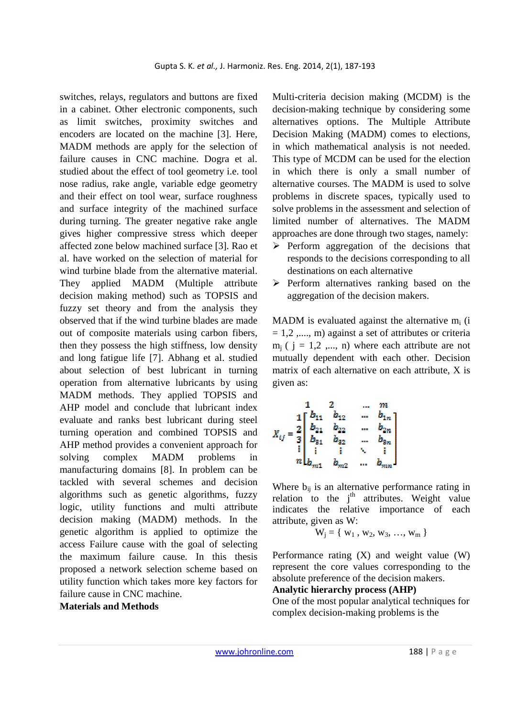switches, relays, regulators and buttons are fixed in a cabinet. Other electronic components, such as limit switches, proximity switches and encoders are located on the machine [3]. Here, MADM methods are apply for the selection of failure causes in CNC machine. Dogra et al. studied about the effect of tool geometry i.e. tool nose radius, rake angle, variable edge geometry and their effect on tool wear, surface roughness and surface integrity of the machined surface during turning. The greater negative rake angle gives higher compressive stress which deeper affected zone below machined surface [3]. Rao et al. have worked on the selection of material for wind turbine blade from the alternative material They applied MADM (Multiple attribute decision making method) such as TOPSIS and fuzzy set theory and from the analysis they observed that if the wind turbine blades are made out of composite materials using carbon fibers, then they possess the high stiffness, low density and long fatigue life [7]. Abhang et al. studied about selection of best lubricant in turning operation from alternative lubricants by using MADM methods. They applied TOPSIS and AHP model and conclude that lubricant index evaluate and ranks best lubricant during steel turning operation and combined TOPSIS and AHP method provides a convenient approach for solving complex MADM problems in manufacturing domains [8]. In problem can be tackled with several schemes and decision algorithms such as genetic algorithms, fuzzy logic, utility functions and multi attribute decision making (MADM) methods. In the genetic algorithm is applied to optimize the access Failure cause with the goal of selecting the maximum failure cause. In this thesis proposed a network selection scheme based on utility function which takes more key factors for failure cause in CNC machine.

**Materials and Methods** 

Multi-criteria decision making (MCDM) is the decision-making technique by considering some alternatives options. The Multiple Attribute Decision Making (MADM) comes to elections, in which mathematical analysis is not needed. This type of MCDM can be used for the election in which there is only a small number of alternative courses. The MADM is used to solve problems in discrete spaces, typically used to solve problems in the assessment and selection of limited number of alternatives. The MADM approaches are done through two stages, namely:

- $\triangleright$  Perform aggregation of the decisions that responds to the decisions corresponding to all destinations on each alternative
- $\triangleright$  Perform alternatives ranking based on the aggregation of the decision makers.

MADM is evaluated against the alternative  $m_i$  (i  $= 1, 2, \dots, m$  against a set of attributes or criteria  $m_i$  (  $j = 1,2, ..., n$ ) where each attribute are not mutually dependent with each other. Decision matrix of each alternative on each attribute, X is given as:

$$
X_{ij} = \begin{bmatrix} 1 & 2 & \dots & m \\ 1 & b_{11} & b_{12} & \dots & b_{1n} \\ b_{21} & b_{22} & \dots & b_{2n} \\ b_{31} & b_{32} & \dots & b_{3n} \\ \vdots & \vdots & \vdots & \ddots & \vdots \\ b_{m1} & b_{m2} & \dots & b_{mn} \end{bmatrix}
$$

Where  $b_{ii}$  is an alternative performance rating in relation to the  $j^{\text{th}}$  attributes. Weight value indicates the relative importance of each attribute, given as W:

$$
W_j = \{ w_1, w_2, w_3, ..., w_m \}
$$

Performance rating (X) and weight value (W) represent the core values corresponding to the absolute preference of the decision makers.

**Analytic hierarchy process (AHP)** 

One of the most popular analytical techniques for complex decision-making problems is the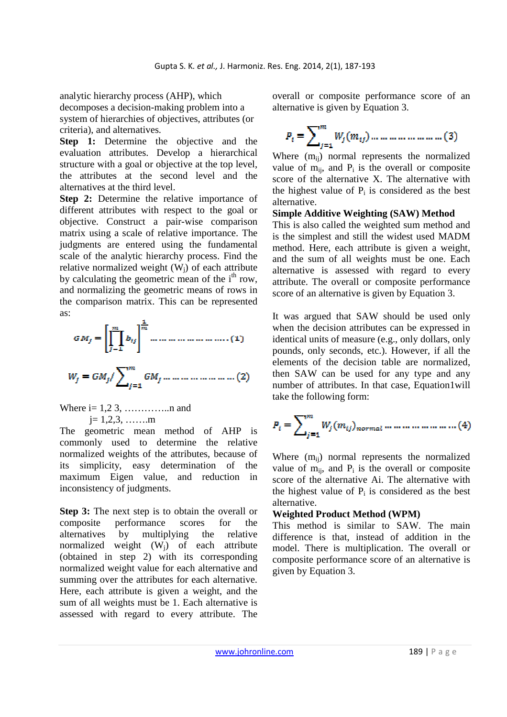analytic hierarchy process (AHP), which decomposes a decision-making problem into a system of hierarchies of objectives, attributes (or criteria), and alternatives.

**Step 1:** Determine the objective and the evaluation attributes. Develop a hierarchical structure with a goal or objective at the top level, the attributes at the second level and the alternatives at the third level.

**Step 2:** Determine the relative importance of different attributes with respect to the goal or objective. Construct a pair-wise comparison matrix using a scale of relative importance. The judgments are entered using the fundamental scale of the analytic hierarchy process. Find the relative normalized weight  $(W_i)$  of each attribute by calculating the geometric mean of the  $i<sup>th</sup>$  row, and normalizing the geometric means of rows in the comparison matrix. This can be represented as:

Where  $i = 1, 2, 3, \dots, n$  and  $j = 1, 2, 3, \dots, m$ 

The geometric mean method of AHP is commonly used to determine the relative normalized weights of the attributes, because of its simplicity, easy determination of the maximum Eigen value, and reduction in inconsistency of judgments.

**Step 3:** The next step is to obtain the overall or composite performance scores for the alternatives by multiplying the relative normalized weight (Wj) of each attribute (obtained in step 2) with its corresponding normalized weight value for each alternative and summing over the attributes for each alternative. Here, each attribute is given a weight, and the sum of all weights must be 1. Each alternative is assessed with regard to every attribute. The

overall or composite performance score of an alternative is given by Equation 3.

$$
P_i = \sum_{j=1}^{m} W_j(m_{ij}) \dots \dots \dots \dots \dots \dots \dots \dots \dots (3)
$$

Where  $(m_{ii})$  normal represents the normalized value of  $m_{ij}$ , and  $P_i$  is the overall or composite score of the alternative X. The alternative with the highest value of  $P_i$  is considered as the best alternative.

### **Simple Additive Weighting (SAW) Method**

This is also called the weighted sum method and is the simplest and still the widest used MADM method. Here, each attribute is given a weight, and the sum of all weights must be one. Each alternative is assessed with regard to every attribute. The overall or composite performance score of an alternative is given by Equation 3.

It was argued that SAW should be used only when the decision attributes can be expressed in identical units of measure (e.g., only dollars, only pounds, only seconds, etc.). However, if all the elements of the decision table are normalized, then SAW can be used for any type and any number of attributes. In that case, Equation1will take the following form:

$$
P_i = \sum_{j=1}^{m} W_j (m_{ij})_{normal} \dots \dots \dots \dots \dots \dots \dots (4)
$$

Where  $(m_{ii})$  normal represents the normalized value of  $m_{ii}$ , and  $P_i$  is the overall or composite score of the alternative Ai. The alternative with the highest value of  $P_i$  is considered as the best alternative.

### **Weighted Product Method (WPM)**

This method is similar to SAW. The main difference is that, instead of addition in the model. There is multiplication. The overall or composite performance score of an alternative is given by Equation 3.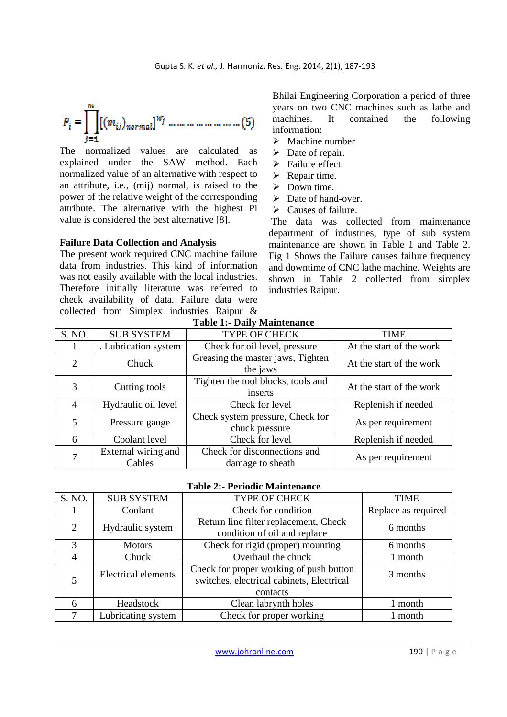The normalized values are calculated as explained under the SAW method. Each normalized value of an alternative with respect to an attribute, i.e., (mij) normal, is raised to the power of the relative weight of the corresponding attribute. The alternative with the highest Pi value is considered the best alternative [8].

### **Failure Data Collection and Analysis**

The present work required CNC machine failure data from industries. This kind of information was not easily available with the local industries. Therefore initially literature was referred to check availability of data. Failure data were collected from Simplex industries Raipur & Bhilai Engineering Corporation a period of three years on two CNC machines such as lathe and machines. It contained the following information:

- $\triangleright$  Machine number
- $\triangleright$  Date of repair.
- $\triangleright$  Failure effect.
- $\triangleright$  Repair time.
- $\triangleright$  Down time.
- $\triangleright$  Date of hand-over.
- $\triangleright$  Causes of failure.

 The data was collected from maintenance department of industries, type of sub system maintenance are shown in Table 1 and Table 2. Fig 1 Shows the Failure causes failure frequency and downtime of CNC lathe machine. Weights are shown in Table 2 collected from simplex industries Raipur.

| S. NO. | <b>SUB SYSTEM</b>                                                    | <b>TYPE OF CHECK</b>                             | TIME                     |
|--------|----------------------------------------------------------------------|--------------------------------------------------|--------------------------|
|        | . Lubrication system                                                 | Check for oil level, pressure                    | At the start of the work |
| 2      | Chuck                                                                | Greasing the master jaws, Tighten<br>the jaws    | At the start of the work |
| 3      | Cutting tools                                                        | Tighten the tool blocks, tools and<br>inserts    | At the start of the work |
| 4      | Hydraulic oil level                                                  | Check for level                                  | Replenish if needed      |
| 5      | Check system pressure, Check for<br>Pressure gauge<br>chuck pressure |                                                  | As per requirement       |
| 6      | Coolant level                                                        | Check for level                                  | Replenish if needed      |
| 7      | External wiring and<br>Cables                                        | Check for disconnections and<br>damage to sheath | As per requirement       |

### **Table 1:- Daily Maintenance**

#### **Table 2:- Periodic Maintenance**

| S. NO.                     | <b>SUB SYSTEM</b>  | <b>TYPE OF CHECK</b>                                                                 | <b>TIME</b>         |
|----------------------------|--------------------|--------------------------------------------------------------------------------------|---------------------|
|                            | Coolant            | Check for condition                                                                  | Replace as required |
| $\overline{2}$             | Hydraulic system   | Return line filter replacement, Check<br>condition of oil and replace                | 6 months            |
| 3                          | <b>Motors</b>      | Check for rigid (proper) mounting                                                    | 6 months            |
| 4                          | Chuck              | Overhaul the chuck                                                                   | 1 month             |
| <b>Electrical elements</b> |                    | Check for proper working of push button<br>switches, electrical cabinets, Electrical | 3 months            |
|                            |                    | contacts                                                                             |                     |
| 6                          | Headstock          | Clean labrynth holes                                                                 | 1 month             |
|                            | Lubricating system | Check for proper working                                                             | 1 month             |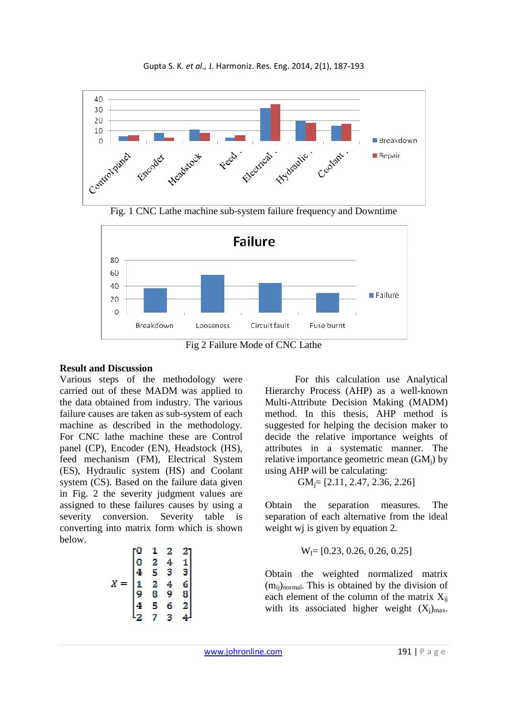



Fig. 1 CNC Lathe machine sub-system failure frequency and Downtime



Fig 2 Failure Mode of CNC Lathe

### **Result and Discussion**

Various steps of the methodology were carried out of these MADM was applied to the data obtained from industry. The various failure causes are taken as sub-system of each machine as described in the methodology. For CNC lathe machine these are Control panel (CP), Encoder (EN), Headstock (HS), feed mechanism (FM), Electrical System (ES), Hydraulic system (HS) and Coolant system (CS). Based on the failure data given in Fig. 2 the severity judgment values are assigned to these failures causes by using a severity conversion. Severity table is converting into matrix form which is shown below.

$$
X = \begin{bmatrix} 0 & 1 & 2 & 2 \\ 0 & 2 & 4 & 1 \\ 4 & 5 & 3 & 3 \\ 1 & 2 & 4 & 6 \\ 9 & 8 & 9 & 8 \\ 4 & 5 & 6 & 2 \\ 2 & 7 & 3 & 4 \end{bmatrix}
$$

 For this calculation use Analytical Hierarchy Process (AHP) as a well-known Multi-Attribute Decision Making (MADM) method. In this thesis, AHP method is suggested for helping the decision maker to decide the relative importance weights of attributes in a systematic manner. The relative importance geometric mean  $(GM_i)$  by using AHP will be calculating:

$$
GM_j=[2.11, 2.47, 2.36, 2.26]
$$

Obtain the separation measures. The separation of each alternative from the ideal weight wi is given by equation 2.

$$
W_I = [0.23, 0.26, 0.26, 0.25]
$$

Obtain the weighted normalized matrix  $(m_{ij})_{normal}$ . This is obtained by the division of each element of the column of the matrix  $X_{ii}$ with its associated higher weight  $(X_i)_{max}$ .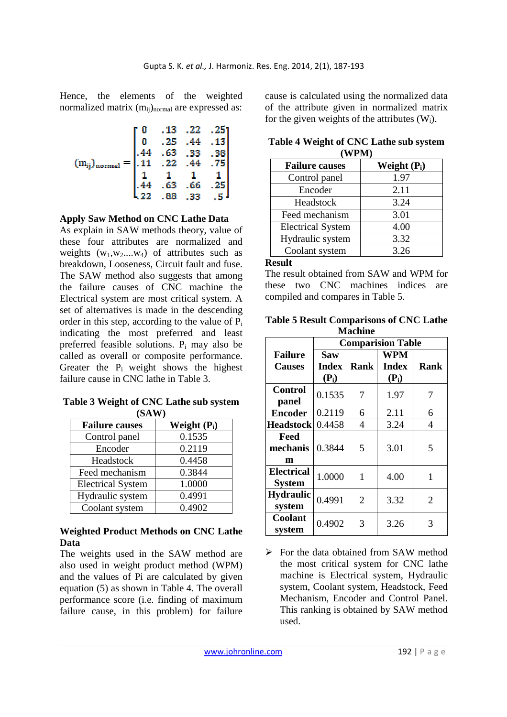Hence, the elements of the weighted normalized matrix (m<sub>ij</sub>)<sub>normal</sub> are expressed as:

|  |                                                                                                | $.13$ $.22$ | $-25^\circ$ |
|--|------------------------------------------------------------------------------------------------|-------------|-------------|
|  | .25<br>$A = \begin{bmatrix} 0 & .25 & .44 \\ .44 & .63 & .33 \\ .11 & .22 & .44 \end{bmatrix}$ |             | .13         |
|  |                                                                                                |             | .38         |
|  |                                                                                                |             |             |
|  |                                                                                                |             |             |
|  | $\overline{63}$                                                                                | .66         |             |
|  |                                                                                                |             |             |

**Apply Saw Method on CNC Lathe Data** 

As explain in SAW methods theory, value of these four attributes are normalized and weights  $(w_1, w_2, \ldots, w_4)$  of attributes such as breakdown, Looseness, Circuit fault and fuse. The SAW method also suggests that among the failure causes of CNC machine the Electrical system are most critical system. A set of alternatives is made in the descending order in this step, according to the value of  $\overline{P_i}$ indicating the most preferred and least preferred feasible solutions. P<sup>i</sup> may also be called as overall or composite performance. Greater the  $P_i$  weight shows the highest failure cause in CNC lathe in Table 3.

**Table 3 Weight of CNC Lathe sub system (SAW)** 

| <b>Failure causes</b>    | Weight $(P_i)$ |
|--------------------------|----------------|
| Control panel            | 0.1535         |
| Encoder                  | 0.2119         |
| Headstock                | 0.4458         |
| Feed mechanism           | 0.3844         |
| <b>Electrical System</b> | 1.0000         |
| Hydraulic system         | 0.4991         |
| Coolant system           | 0.4902         |

## **Weighted Product Methods on CNC Lathe Data**

The weights used in the SAW method are also used in weight product method (WPM) and the values of Pi are calculated by given equation (5) as shown in Table 4. The overall performance score (i.e. finding of maximum failure cause, in this problem) for failure

cause is calculated using the normalized data of the attribute given in normalized matrix for the given weights of the attributes  $(W_i)$ .

| Table 4 Weight of CNC Lathe sub system |  |
|----------------------------------------|--|
| (WPM)                                  |  |

| <b>Failure causes</b>    | Weight $(P_i)$ |
|--------------------------|----------------|
| Control panel            | 1.97           |
| Encoder                  | 2.11           |
| Headstock                | 3.24           |
| Feed mechanism           | 3.01           |
| <b>Electrical System</b> | 4.00           |
| Hydraulic system         | 3.32           |
| Coolant system           | 3.26           |

#### **Result**

The result obtained from SAW and WPM for these two CNC machines indices are compiled and compares in Table 5.

**Table 5 Result Comparisons of CNC Lathe Machine** 

|                                    | <b>Comparision Table</b> |                |                            |                |
|------------------------------------|--------------------------|----------------|----------------------------|----------------|
| <b>Failure</b><br><b>Causes</b>    | Saw<br><b>Index</b>      | Rank           | <b>WPM</b><br><b>Index</b> | <b>Rank</b>    |
|                                    | $(P_i)$                  |                | $(P_i)$                    |                |
| <b>Control</b><br>panel            | 0.1535                   | 7              | 1.97                       | 7              |
| <b>Encoder</b>                     | 0.2119                   | 6              | 2.11                       | 6              |
| <b>Headstock</b>                   | 0.4458                   | $\overline{4}$ | 3.24                       | 4              |
| Feed<br>mechanis<br>m              | 0.3844                   | 5              | 3.01                       | 5              |
| <b>Electrical</b><br><b>System</b> | 1.0000                   | $\mathbf{1}$   | 4.00                       | 1              |
| <b>Hydraulic</b><br>system         | 0.4991                   | $\overline{2}$ | 3.32                       | $\overline{2}$ |
| Coolant<br>system                  | 0.4902                   | 3              | 3.26                       | 3              |

For the data obtained from SAW method the most critical system for CNC lathe machine is Electrical system, Hydraulic system, Coolant system, Headstock, Feed Mechanism, Encoder and Control Panel. This ranking is obtained by SAW method used.